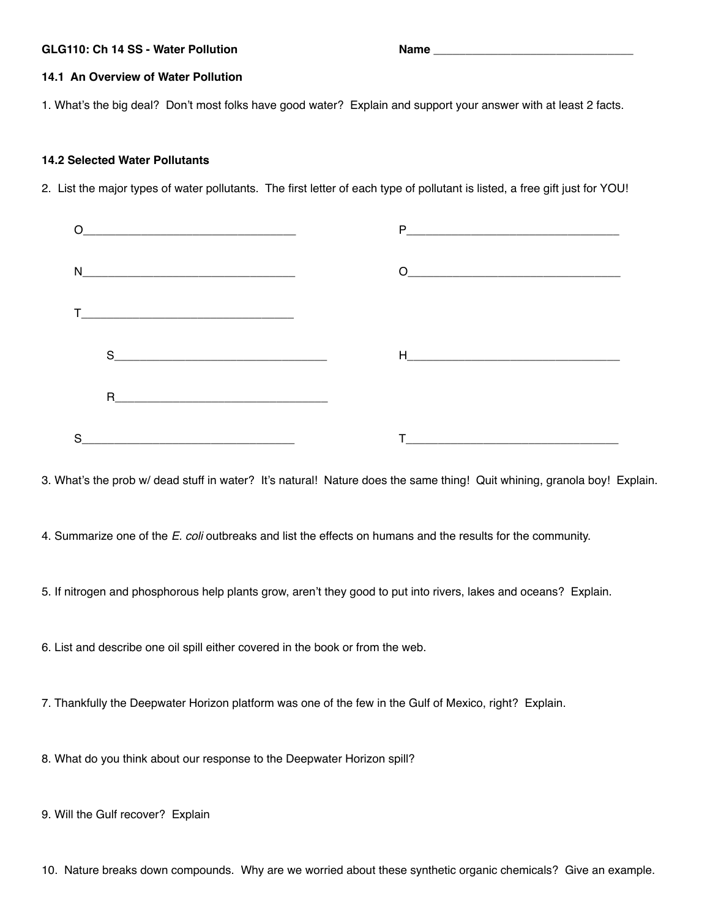# **GLG110: Ch 14 SS - Water Pollution Name \_\_\_\_\_\_\_\_\_\_\_\_\_\_\_\_\_\_\_\_\_\_\_\_\_\_\_\_\_\_\_**

## **14.1 An Overview of Water Pollution**

1. What's the big deal? Don't most folks have good water? Explain and support your answer with at least 2 facts.

### **14.2 Selected Water Pollutants**

2. List the major types of water pollutants. The first letter of each type of pollutant is listed, a free gift just for YOU!

| $\begin{picture}(150,10) \put(0,0){\dashbox{0.5}(10,0){ }} \put(15,0){\circle{10}} \put(15,0){\circle{10}} \put(15,0){\circle{10}} \put(15,0){\circle{10}} \put(15,0){\circle{10}} \put(15,0){\circle{10}} \put(15,0){\circle{10}} \put(15,0){\circle{10}} \put(15,0){\circle{10}} \put(15,0){\circle{10}} \put(15,0){\circle{10}} \put(15,0){\circle{10}} \put(15,0){\circle{10}} \put(15$ |                                                                                                                                                                                                                                                                                                                                                                         |
|---------------------------------------------------------------------------------------------------------------------------------------------------------------------------------------------------------------------------------------------------------------------------------------------------------------------------------------------------------------------------------------------|-------------------------------------------------------------------------------------------------------------------------------------------------------------------------------------------------------------------------------------------------------------------------------------------------------------------------------------------------------------------------|
|                                                                                                                                                                                                                                                                                                                                                                                             | $\begin{picture}(180,10) \put(0,0){\dashbox{0.5}(10,0){ }} \put(10,0){\dashbox{0.5}(10,0){ }} \put(10,0){\dashbox{0.5}(10,0){ }} \put(10,0){\dashbox{0.5}(10,0){ }} \put(10,0){\dashbox{0.5}(10,0){ }} \put(10,0){\dashbox{0.5}(10,0){ }} \put(10,0){\dashbox{0.5}(10,0){ }} \put(10,0){\dashbox{0.5}(10,0){ }} \put(10,0){\dashbox{0.5}(10,0){ }} \put(10,0){\dashbox$ |
|                                                                                                                                                                                                                                                                                                                                                                                             |                                                                                                                                                                                                                                                                                                                                                                         |
| $S_{\text{}}$ and $S_{\text{}}$ and $S_{\text{}}$ and $S_{\text{}}$ and $S_{\text{}}$ and $S_{\text{}}$ and $S_{\text{}}$ and $S_{\text{}}$ and $S_{\text{}}$ and $S_{\text{}}$ and $S_{\text{}}$ and $S_{\text{}}$ and $S_{\text{}}$ and $S_{\text{}}$ and $S_{\text{}}$ and $S_{\text{}}$ and $S_{\text{}}$ and                                                                           | Harry Committee and Committee and Committee and Committee and Committee and Committee and Committee and Committee                                                                                                                                                                                                                                                       |
|                                                                                                                                                                                                                                                                                                                                                                                             |                                                                                                                                                                                                                                                                                                                                                                         |
|                                                                                                                                                                                                                                                                                                                                                                                             |                                                                                                                                                                                                                                                                                                                                                                         |

3. What's the prob w/ dead stuff in water? It's natural! Nature does the same thing! Quit whining, granola boy! Explain.

4. Summarize one of the *E. coli* outbreaks and list the effects on humans and the results for the community.

5. If nitrogen and phosphorous help plants grow, aren't they good to put into rivers, lakes and oceans? Explain.

6. List and describe one oil spill either covered in the book or from the web.

7. Thankfully the Deepwater Horizon platform was one of the few in the Gulf of Mexico, right? Explain.

8. What do you think about our response to the Deepwater Horizon spill?

9. Will the Gulf recover? Explain

10. Nature breaks down compounds. Why are we worried about these synthetic organic chemicals? Give an example.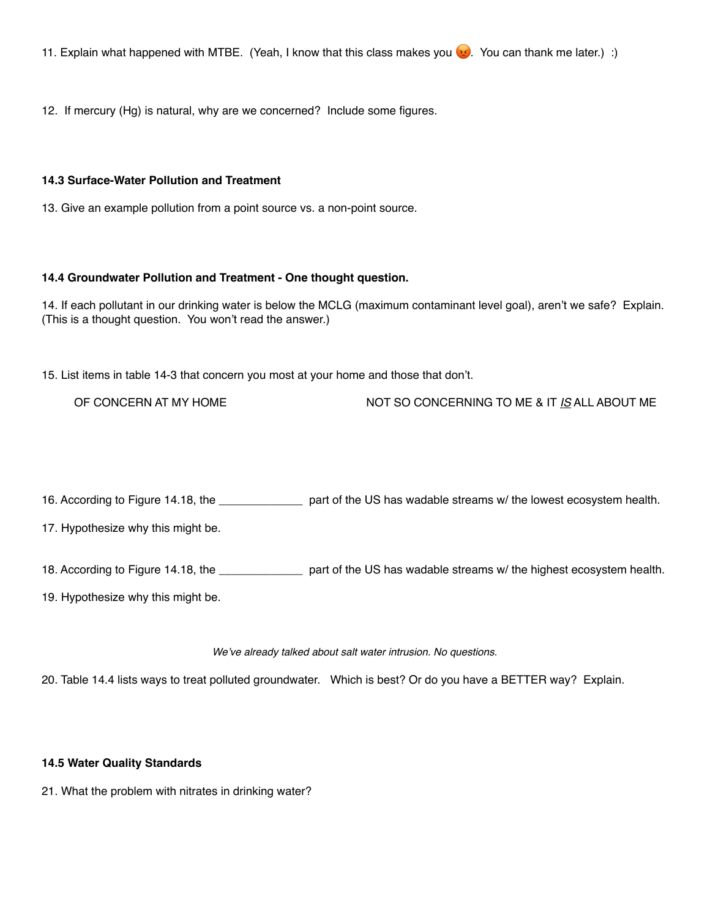12. If mercury (Hg) is natural, why are we concerned? Include some figures.

#### **14.3 Surface-Water Pollution and Treatment**

13. Give an example pollution from a point source vs. a non-point source.

### **14.4 Groundwater Pollution and Treatment - One thought question.**

14. If each pollutant in our drinking water is below the MCLG (maximum contaminant level goal), aren't we safe? Explain. (This is a thought question. You won't read the answer.)

15. List items in table 14-3 that concern you most at your home and those that don't.

OF CONCERN AT MY HOME NOT SO CONCERNING TO ME & IT *IS* ALL ABOUT ME

16. According to Figure 14.18, the \_\_\_\_\_\_\_\_\_\_\_\_\_ part of the US has wadable streams w/ the lowest ecosystem health.

17. Hypothesize why this might be.

18. According to Figure 14.18, the \_\_\_\_\_\_\_\_\_\_\_\_\_ part of the US has wadable streams w/ the highest ecosystem health.

19. Hypothesize why this might be.

#### *We've already talked about salt water intrusion. No questions.*

20. Table 14.4 lists ways to treat polluted groundwater. Which is best? Or do you have a BETTER way? Explain.

### **14.5 Water Quality Standards**

21. What the problem with nitrates in drinking water?